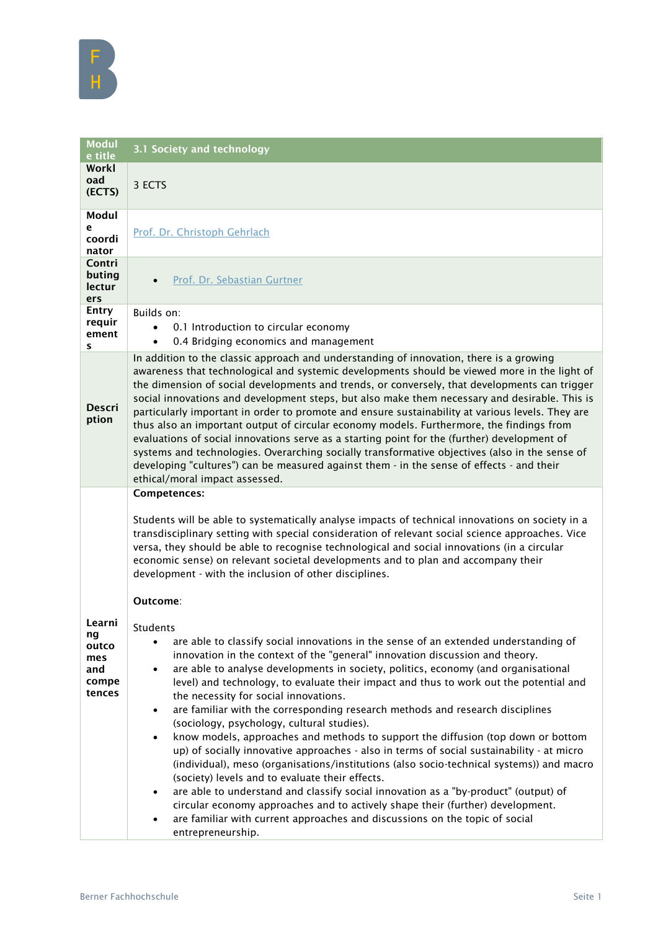| <b>Modul</b><br>e title                                | 3.1 Society and technology                                                                                                                                                                                                                                                                                                                                                                                                                                                                                                                                                                                                                                                                                                                                                                                                                                                                                                                                                                                                                                                                                                                                                                                                                                                                                                                                                                                                                                                                                                                                                        |
|--------------------------------------------------------|-----------------------------------------------------------------------------------------------------------------------------------------------------------------------------------------------------------------------------------------------------------------------------------------------------------------------------------------------------------------------------------------------------------------------------------------------------------------------------------------------------------------------------------------------------------------------------------------------------------------------------------------------------------------------------------------------------------------------------------------------------------------------------------------------------------------------------------------------------------------------------------------------------------------------------------------------------------------------------------------------------------------------------------------------------------------------------------------------------------------------------------------------------------------------------------------------------------------------------------------------------------------------------------------------------------------------------------------------------------------------------------------------------------------------------------------------------------------------------------------------------------------------------------------------------------------------------------|
| Workl<br>oad<br>(ECTS)                                 | 3 ECTS                                                                                                                                                                                                                                                                                                                                                                                                                                                                                                                                                                                                                                                                                                                                                                                                                                                                                                                                                                                                                                                                                                                                                                                                                                                                                                                                                                                                                                                                                                                                                                            |
| Modul<br>e<br>coordi<br>nator                          | Prof. Dr. Christoph Gehrlach                                                                                                                                                                                                                                                                                                                                                                                                                                                                                                                                                                                                                                                                                                                                                                                                                                                                                                                                                                                                                                                                                                                                                                                                                                                                                                                                                                                                                                                                                                                                                      |
| Contri<br>buting<br>lectur<br>ers                      | Prof. Dr. Sebastian Gurtner                                                                                                                                                                                                                                                                                                                                                                                                                                                                                                                                                                                                                                                                                                                                                                                                                                                                                                                                                                                                                                                                                                                                                                                                                                                                                                                                                                                                                                                                                                                                                       |
| <b>Entry</b><br>requir<br>ement<br>s                   | Builds on:<br>0.1 Introduction to circular economy<br>0.4 Bridging economics and management<br>$\bullet$                                                                                                                                                                                                                                                                                                                                                                                                                                                                                                                                                                                                                                                                                                                                                                                                                                                                                                                                                                                                                                                                                                                                                                                                                                                                                                                                                                                                                                                                          |
| <b>Descri</b><br>ption                                 | In addition to the classic approach and understanding of innovation, there is a growing<br>awareness that technological and systemic developments should be viewed more in the light of<br>the dimension of social developments and trends, or conversely, that developments can trigger<br>social innovations and development steps, but also make them necessary and desirable. This is<br>particularly important in order to promote and ensure sustainability at various levels. They are<br>thus also an important output of circular economy models. Furthermore, the findings from<br>evaluations of social innovations serve as a starting point for the (further) development of<br>systems and technologies. Overarching socially transformative objectives (also in the sense of<br>developing "cultures") can be measured against them - in the sense of effects - and their<br>ethical/moral impact assessed.                                                                                                                                                                                                                                                                                                                                                                                                                                                                                                                                                                                                                                                        |
| Learni<br>ng<br>outco<br>mes<br>and<br>compe<br>tences | Competences:<br>Students will be able to systematically analyse impacts of technical innovations on society in a<br>transdisciplinary setting with special consideration of relevant social science approaches. Vice<br>versa, they should be able to recognise technological and social innovations (in a circular<br>economic sense) on relevant societal developments and to plan and accompany their<br>development - with the inclusion of other disciplines.<br>Outcome:<br><b>Students</b><br>are able to classify social innovations in the sense of an extended understanding of<br>innovation in the context of the "general" innovation discussion and theory.<br>are able to analyse developments in society, politics, economy (and organisational<br>level) and technology, to evaluate their impact and thus to work out the potential and<br>the necessity for social innovations.<br>are familiar with the corresponding research methods and research disciplines<br>$\bullet$<br>(sociology, psychology, cultural studies).<br>know models, approaches and methods to support the diffusion (top down or bottom<br>$\bullet$<br>up) of socially innovative approaches - also in terms of social sustainability - at micro<br>(individual), meso (organisations/institutions (also socio-technical systems)) and macro<br>(society) levels and to evaluate their effects.<br>are able to understand and classify social innovation as a "by-product" (output) of<br>$\bullet$<br>circular economy approaches and to actively shape their (further) development. |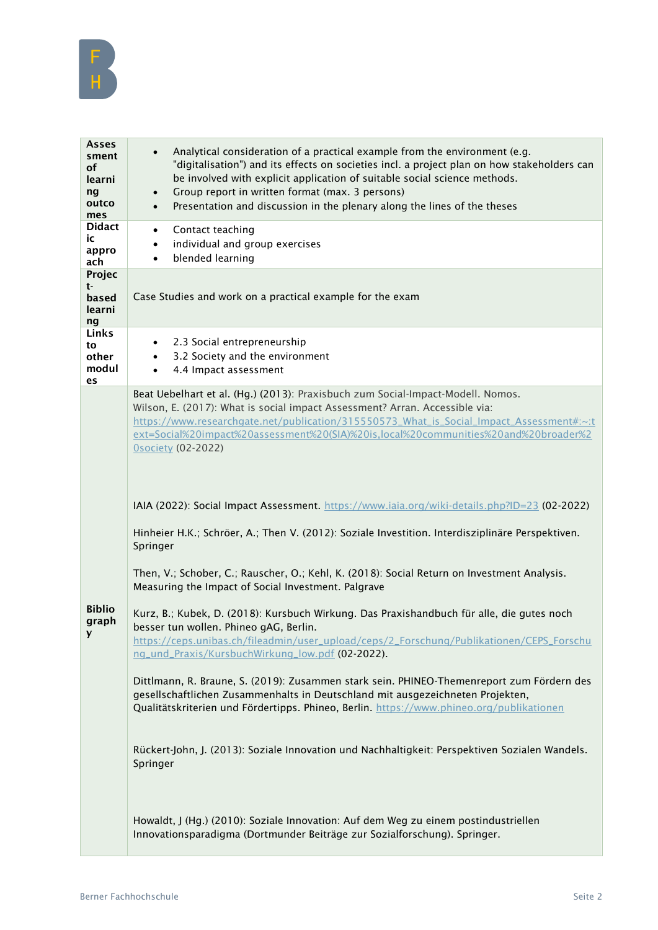

| Asses<br>sment<br><b>of</b><br>learni<br>ng<br>outco<br>mes | Analytical consideration of a practical example from the environment (e.g.<br>$\bullet$<br>"digitalisation") and its effects on societies incl. a project plan on how stakeholders can<br>be involved with explicit application of suitable social science methods.<br>Group report in written format (max. 3 persons)<br>$\bullet$<br>Presentation and discussion in the plenary along the lines of the theses<br>$\bullet$                                                                                                                                                                                                                                                                                                                                                                                                                                                                                                                                                                                                                                                                                                                                                                                                                                                                                                                                                                                                                                                                                                |
|-------------------------------------------------------------|-----------------------------------------------------------------------------------------------------------------------------------------------------------------------------------------------------------------------------------------------------------------------------------------------------------------------------------------------------------------------------------------------------------------------------------------------------------------------------------------------------------------------------------------------------------------------------------------------------------------------------------------------------------------------------------------------------------------------------------------------------------------------------------------------------------------------------------------------------------------------------------------------------------------------------------------------------------------------------------------------------------------------------------------------------------------------------------------------------------------------------------------------------------------------------------------------------------------------------------------------------------------------------------------------------------------------------------------------------------------------------------------------------------------------------------------------------------------------------------------------------------------------------|
| <b>Didact</b><br>ic<br>appro<br>ach                         | Contact teaching<br>$\bullet$<br>individual and group exercises<br>$\bullet$<br>blended learning<br>$\bullet$                                                                                                                                                                                                                                                                                                                                                                                                                                                                                                                                                                                                                                                                                                                                                                                                                                                                                                                                                                                                                                                                                                                                                                                                                                                                                                                                                                                                               |
| Projec<br>t-<br>based<br>learni<br>ng                       | Case Studies and work on a practical example for the exam                                                                                                                                                                                                                                                                                                                                                                                                                                                                                                                                                                                                                                                                                                                                                                                                                                                                                                                                                                                                                                                                                                                                                                                                                                                                                                                                                                                                                                                                   |
| Links<br>to<br>other<br>modul<br>es                         | 2.3 Social entrepreneurship<br>$\bullet$<br>3.2 Society and the environment<br>$\bullet$<br>4.4 Impact assessment<br>$\bullet$                                                                                                                                                                                                                                                                                                                                                                                                                                                                                                                                                                                                                                                                                                                                                                                                                                                                                                                                                                                                                                                                                                                                                                                                                                                                                                                                                                                              |
| <b>Biblio</b><br>graph                                      | Beat Uebelhart et al. (Hg.) (2013): Praxisbuch zum Social-Impact-Modell. Nomos.<br>Wilson, E. (2017): What is social impact Assessment? Arran. Accessible via:<br>https://www.researchgate.net/publication/315550573_What_is_Social_Impact_Assessment#:~:t<br>ext=Social%20impact%20assessment%20(SIA)%20is.local%20communities%20and%20broader%2<br><b>Osociety (02-2022)</b><br>IAIA (2022): Social Impact Assessment. https://www.iaia.org/wiki-details.php?ID=23 (02-2022)<br>Hinheier H.K.; Schröer, A.; Then V. (2012): Soziale Investition. Interdisziplinäre Perspektiven.<br>Springer<br>Then, V.; Schober, C.; Rauscher, O.; Kehl, K. (2018): Social Return on Investment Analysis.<br>Measuring the Impact of Social Investment. Palgrave<br>Kurz, B.; Kubek, D. (2018): Kursbuch Wirkung. Das Praxishandbuch für alle, die gutes noch<br>besser tun wollen. Phineo gAG, Berlin.<br>https://ceps.unibas.ch/fileadmin/user_upload/ceps/2_Forschung/Publikationen/CEPS_Forschu<br>ng_und_Praxis/KursbuchWirkung_low.pdf (02-2022).<br>Dittlmann, R. Braune, S. (2019): Zusammen stark sein. PHINEO-Themenreport zum Fördern des<br>gesellschaftlichen Zusammenhalts in Deutschland mit ausgezeichneten Projekten,<br>Qualitätskriterien und Fördertipps. Phineo, Berlin. https://www.phineo.org/publikationen<br>Rückert-John, J. (2013): Soziale Innovation und Nachhaltigkeit: Perspektiven Sozialen Wandels.<br>Springer<br>Howaldt, J (Hg.) (2010): Soziale Innovation: Auf dem Weg zu einem postindustriellen |
|                                                             | Innovationsparadigma (Dortmunder Beiträge zur Sozialforschung). Springer.                                                                                                                                                                                                                                                                                                                                                                                                                                                                                                                                                                                                                                                                                                                                                                                                                                                                                                                                                                                                                                                                                                                                                                                                                                                                                                                                                                                                                                                   |